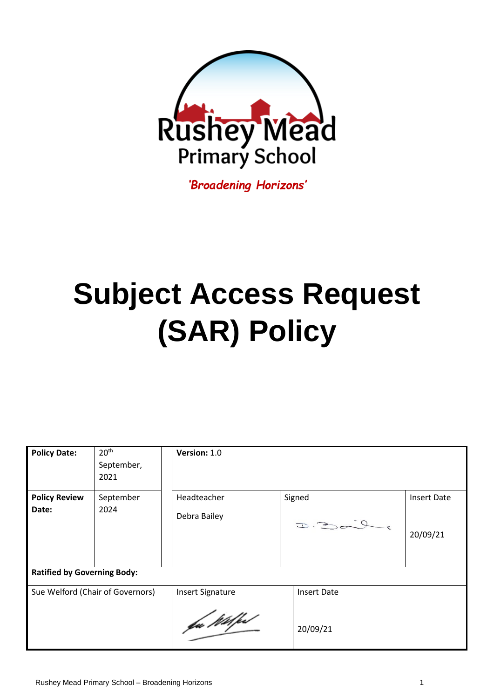

*'Broadening Horizons'*

# **Subject Access Request (SAR) Policy**

| 20 <sup>th</sup><br>September,<br>2021 | Version: 1.0            |                                |                    |  |  |
|----------------------------------------|-------------------------|--------------------------------|--------------------|--|--|
| September                              | Headteacher             | Signed                         | <b>Insert Date</b> |  |  |
| 2024                                   | Debra Bailey            | 2.302.0                        | 20/09/21           |  |  |
| <b>Ratified by Governing Body:</b>     |                         |                                |                    |  |  |
| Sue Welford (Chair of Governors)       | <b>Insert Signature</b> | <b>Insert Date</b><br>20/09/21 |                    |  |  |
|                                        |                         | fu Wilfe                       |                    |  |  |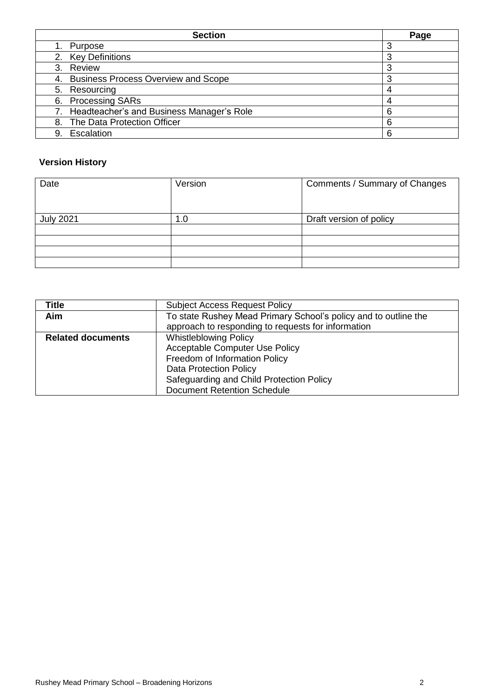| <b>Section</b>                               | Page |
|----------------------------------------------|------|
| Purpose                                      | 3    |
| 2. Key Definitions                           | 3    |
| 3. Review                                    | 3    |
| 4. Business Process Overview and Scope       | 3    |
| 5. Resourcing                                |      |
| 6. Processing SARs                           |      |
| 7. Headteacher's and Business Manager's Role | 6    |
| 8. The Data Protection Officer               | 6    |
| Escalation<br>9.                             | 6    |

# **Version History**

| Date             | Version | Comments / Summary of Changes |
|------------------|---------|-------------------------------|
|                  |         |                               |
| <b>July 2021</b> | 1.0     | Draft version of policy       |
|                  |         |                               |
|                  |         |                               |
|                  |         |                               |
|                  |         |                               |

| Title                    | <b>Subject Access Request Policy</b>                            |  |
|--------------------------|-----------------------------------------------------------------|--|
| <b>Aim</b>               | To state Rushey Mead Primary School's policy and to outline the |  |
|                          | approach to responding to requests for information              |  |
| <b>Related documents</b> | <b>Whistleblowing Policy</b>                                    |  |
|                          | <b>Acceptable Computer Use Policy</b>                           |  |
|                          | Freedom of Information Policy                                   |  |
|                          | <b>Data Protection Policy</b>                                   |  |
|                          | Safeguarding and Child Protection Policy                        |  |
|                          | <b>Document Retention Schedule</b>                              |  |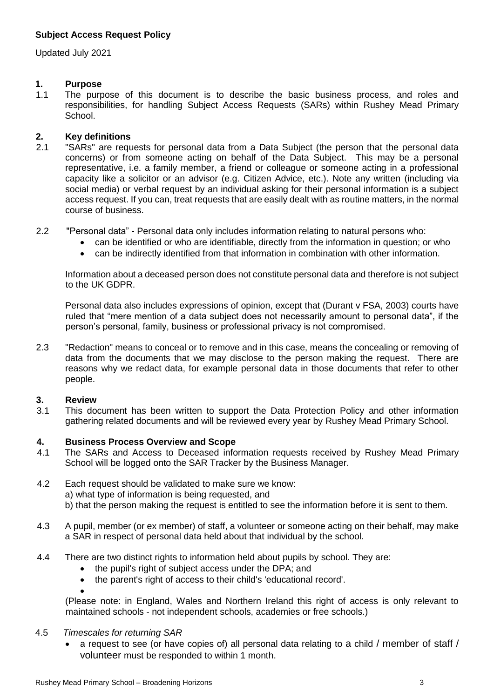# **Subject Access Request Policy**

Updated July 2021

# **1. Purpose**

1.1 The purpose of this document is to describe the basic business process, and roles and responsibilities, for handling Subject Access Requests (SARs) within Rushey Mead Primary School.

# **2. Key definitions**

- 2.1 "SARs" are requests for personal data from a Data Subject (the person that the personal data concerns) or from someone acting on behalf of the Data Subject. This may be a personal representative, i.e. a family member, a friend or colleague or someone acting in a professional capacity like a solicitor or an advisor (e.g. Citizen Advice, etc.). Note any written (including via social media) or verbal request by an individual asking for their personal information is a subject access request. If you can, treat requests that are easily dealt with as routine matters, in the normal course of business.
- 2.2 "Personal data" Personal data only includes information relating to natural persons who:
	- can be identified or who are identifiable, directly from the information in question; or who
	- can be indirectly identified from that information in combination with other information.

Information about a deceased person does not constitute personal data and therefore is not subject to the UK GDPR.

Personal data also includes expressions of opinion, except that (Durant v FSA, 2003) courts have ruled that "mere mention of a data subject does not necessarily amount to personal data", if the person's personal, family, business or professional privacy is not compromised.

2.3 "Redaction" means to conceal or to remove and in this case, means the concealing or removing of data from the documents that we may disclose to the person making the request. There are reasons why we redact data, for example personal data in those documents that refer to other people.

#### **3. Review**

3.1 This document has been written to support the Data Protection Policy and other information gathering related documents and will be reviewed every year by Rushey Mead Primary School.

#### **4. Business Process Overview and Scope**

- 4.1 The SARs and Access to Deceased information requests received by Rushey Mead Primary School will be logged onto the SAR Tracker by the Business Manager.
- 4.2 Each request should be validated to make sure we know: a) what type of information is being requested, and b) that the person making the request is entitled to see the information before it is sent to them.
- 4.3 A pupil, member (or ex member) of staff, a volunteer or someone acting on their behalf, may make a SAR in respect of personal data held about that individual by the school.
- 4.4 There are two distinct rights to information held about pupils by school. They are:
	- the pupil's right of subject access under the DPA; and
	- the parent's right of access to their child's 'educational record'.

• (Please note: in England, Wales and Northern Ireland this right of access is only relevant to maintained schools - not independent schools, academies or free schools.)

#### 4.5 *Timescales for returning SAR*

• a request to see (or have copies of) all personal data relating to a child / member of staff / volunteer must be responded to within 1 month.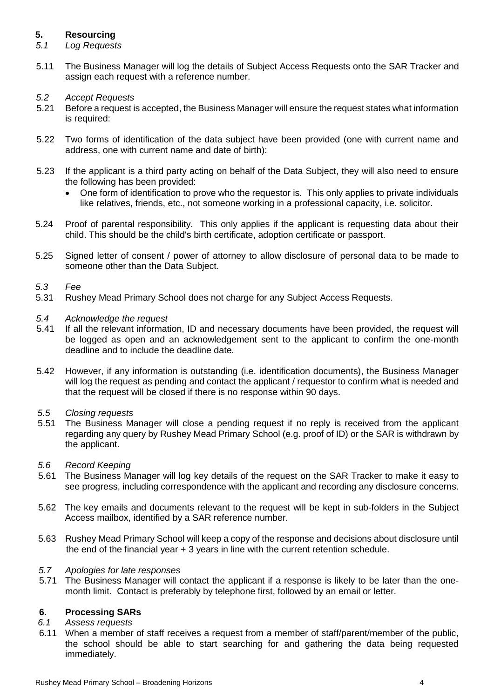# **5. Resourcing**

- *5.1 Log Requests*
- 5.11 The Business Manager will log the details of Subject Access Requests onto the SAR Tracker and assign each request with a reference number.
- *5.2 Accept Requests*
- 5.21 Before a request is accepted, the Business Manager will ensure the request states what information is required:
- 5.22 Two forms of identification of the data subject have been provided (one with current name and address, one with current name and date of birth):
- 5.23 If the applicant is a third party acting on behalf of the Data Subject, they will also need to ensure the following has been provided:
	- One form of identification to prove who the requestor is. This only applies to private individuals like relatives, friends, etc., not someone working in a professional capacity, i.e. solicitor.
- 5.24 Proof of parental responsibility. This only applies if the applicant is requesting data about their child. This should be the child's birth certificate, adoption certificate or passport.
- 5.25 Signed letter of consent / power of attorney to allow disclosure of personal data to be made to someone other than the Data Subject.

#### *5.3 Fee*

- 5.31 Rushey Mead Primary School does not charge for any Subject Access Requests.
- *5.4 Acknowledge the request*
- 5.41 If all the relevant information, ID and necessary documents have been provided, the request will be logged as open and an acknowledgement sent to the applicant to confirm the one-month deadline and to include the deadline date.
- 5.42 However, if any information is outstanding (i.e. identification documents), the Business Manager will log the request as pending and contact the applicant / requestor to confirm what is needed and that the request will be closed if there is no response within 90 days.
- *5.5 Closing requests*
- The Business Manager will close a pending request if no reply is received from the applicant regarding any query by Rushey Mead Primary School (e.g. proof of ID) or the SAR is withdrawn by the applicant.
- *5.6 Record Keeping*
- 5.61 The Business Manager will log key details of the request on the SAR Tracker to make it easy to see progress, including correspondence with the applicant and recording any disclosure concerns.
- 5.62 The key emails and documents relevant to the request will be kept in sub-folders in the Subject Access mailbox, identified by a SAR reference number.
- 5.63 Rushey Mead Primary School will keep a copy of the response and decisions about disclosure until the end of the financial year + 3 years in line with the current retention schedule.

#### *5.7 Apologies for late responses*

5.71 The Business Manager will contact the applicant if a response is likely to be later than the onemonth limit. Contact is preferably by telephone first, followed by an email or letter.

# **6. Processing SARs**

- *6.1 Assess requests*
- 6.11 When a member of staff receives a request from a member of staff/parent/member of the public, the school should be able to start searching for and gathering the data being requested immediately.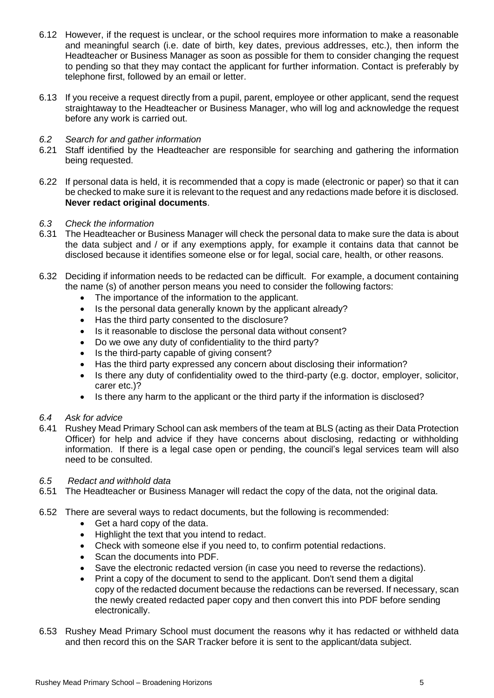- 6.12 However, if the request is unclear, or the school requires more information to make a reasonable and meaningful search (i.e. date of birth, key dates, previous addresses, etc.), then inform the Headteacher or Business Manager as soon as possible for them to consider changing the request to pending so that they may contact the applicant for further information. Contact is preferably by telephone first, followed by an email or letter.
- 6.13 If you receive a request directly from a pupil, parent, employee or other applicant, send the request straightaway to the Headteacher or Business Manager, who will log and acknowledge the request before any work is carried out.
- *6.2 Search for and gather information*
- 6.21 Staff identified by the Headteacher are responsible for searching and gathering the information being requested.
- 6.22 If personal data is held, it is recommended that a copy is made (electronic or paper) so that it can be checked to make sure it is relevant to the request and any redactions made before it is disclosed. **Never redact original documents**.
- *6.3 Check the information*
- 6.31 The Headteacher or Business Manager will check the personal data to make sure the data is about the data subject and / or if any exemptions apply, for example it contains data that cannot be disclosed because it identifies someone else or for legal, social care, health, or other reasons.
- 6.32 Deciding if information needs to be redacted can be difficult. For example, a document containing the name (s) of another person means you need to consider the following factors:
	- The importance of the information to the applicant.
	- Is the personal data generally known by the applicant already?
	- Has the third party consented to the disclosure?
	- Is it reasonable to disclose the personal data without consent?
	- Do we owe any duty of confidentiality to the third party?
	- Is the third-party capable of giving consent?
	- Has the third party expressed any concern about disclosing their information?
	- Is there any duty of confidentiality owed to the third-party (e.g. doctor, employer, solicitor, carer etc.)?
	- Is there any harm to the applicant or the third party if the information is disclosed?
- *6.4 Ask for advice*
- 6.41 Rushey Mead Primary School can ask members of the team at BLS (acting as their Data Protection Officer) for help and advice if they have concerns about disclosing, redacting or withholding information. If there is a legal case open or pending, the council's legal services team will also need to be consulted.
- *6.5 Redact and withhold data*
- 6.51 The Headteacher or Business Manager will redact the copy of the data, not the original data.
- 6.52 There are several ways to redact documents, but the following is recommended:
	- Get a hard copy of the data.
	- Highlight the text that you intend to redact.
	- Check with someone else if you need to, to confirm potential redactions.
	- Scan the documents into PDF.
	- Save the electronic redacted version (in case you need to reverse the redactions).
	- Print a copy of the document to send to the applicant. Don't send them a digital copy of the redacted document because the redactions can be reversed. If necessary, scan the newly created redacted paper copy and then convert this into PDF before sending electronically.
- 6.53 Rushey Mead Primary School must document the reasons why it has redacted or withheld data and then record this on the SAR Tracker before it is sent to the applicant/data subject.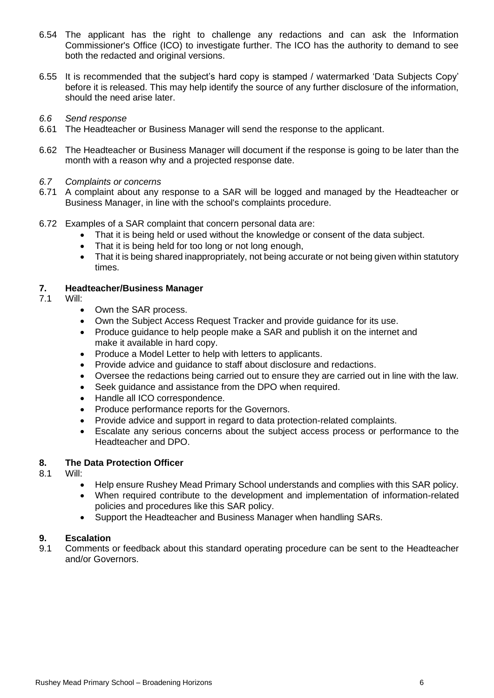- 6.54 The applicant has the right to challenge any redactions and can ask the Information Commissioner's Office (ICO) to investigate further. The ICO has the authority to demand to see both the redacted and original versions.
- 6.55 It is recommended that the subject's hard copy is stamped / watermarked 'Data Subjects Copy' before it is released. This may help identify the source of any further disclosure of the information, should the need arise later.
- *6.6 Send response*
- 6.61 The Headteacher or Business Manager will send the response to the applicant.
- 6.62 The Headteacher or Business Manager will document if the response is going to be later than the month with a reason why and a projected response date.
- *6.7 Complaints or concerns*
- 6.71 A complaint about any response to a SAR will be logged and managed by the Headteacher or Business Manager, in line with the school's complaints procedure.
- 6.72 Examples of a SAR complaint that concern personal data are:
	- That it is being held or used without the knowledge or consent of the data subject.
	- That it is being held for too long or not long enough,
	- That it is being shared inappropriately, not being accurate or not being given within statutory times.

#### **7. Headteacher/Business Manager**

- 7.1 Will:
	- Own the SAR process.
	- Own the Subject Access Request Tracker and provide guidance for its use.
	- Produce guidance to help people make a SAR and publish it on the internet and make it available in hard copy.
	- Produce a Model Letter to help with letters to applicants.
	- Provide advice and guidance to staff about disclosure and redactions.
	- Oversee the redactions being carried out to ensure they are carried out in line with the law.
	- Seek guidance and assistance from the DPO when required.
	- Handle all ICO correspondence.
	- Produce performance reports for the Governors.
	- Provide advice and support in regard to data protection-related complaints.
	- Escalate any serious concerns about the subject access process or performance to the Headteacher and DPO.

#### **8. The Data Protection Officer**

- 8.1 Will:
	- Help ensure Rushey Mead Primary School understands and complies with this SAR policy.
	- When required contribute to the development and implementation of information-related policies and procedures like this SAR policy.
	- Support the Headteacher and Business Manager when handling SARs.

# **9. Escalation**

9.1 Comments or feedback about this standard operating procedure can be sent to the Headteacher and/or Governors.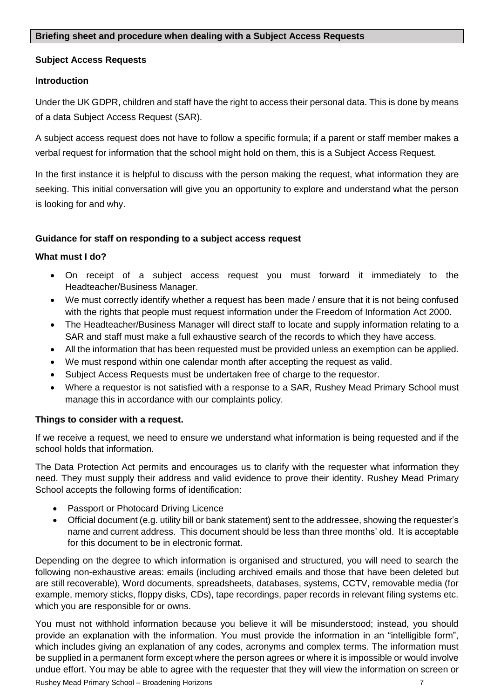#### **Briefing sheet and procedure when dealing with a Subject Access Requests**

# **Subject Access Requests**

#### **Introduction**

Under the UK GDPR, children and staff have the right to access their personal data. This is done by means of a data Subject Access Request (SAR).

A subject access request does not have to follow a specific formula; if a parent or staff member makes a verbal request for information that the school might hold on them, this is a Subject Access Request.

In the first instance it is helpful to discuss with the person making the request, what information they are seeking. This initial conversation will give you an opportunity to explore and understand what the person is looking for and why.

# **Guidance for staff on responding to a subject access request**

#### **What must I do?**

- On receipt of a subject access request you must forward it immediately to the Headteacher/Business Manager.
- We must correctly identify whether a request has been made / ensure that it is not being confused with the rights that people must request information under the Freedom of Information Act 2000.
- The Headteacher/Business Manager will direct staff to locate and supply information relating to a SAR and staff must make a full exhaustive search of the records to which they have access.
- All the information that has been requested must be provided unless an exemption can be applied.
- We must respond within one calendar month after accepting the request as valid.
- Subject Access Requests must be undertaken free of charge to the requestor.
- Where a requestor is not satisfied with a response to a SAR, Rushey Mead Primary School must manage this in accordance with our complaints policy.

# **Things to consider with a request.**

If we receive a request, we need to ensure we understand what information is being requested and if the school holds that information.

The Data Protection Act permits and encourages us to clarify with the requester what information they need. They must supply their address and valid evidence to prove their identity. Rushey Mead Primary School accepts the following forms of identification:

- Passport or Photocard Driving Licence
- Official document (e.g. utility bill or bank statement) sent to the addressee, showing the requester's name and current address. This document should be less than three months' old. It is acceptable for this document to be in electronic format.

Depending on the degree to which information is organised and structured, you will need to search the following non-exhaustive areas: emails (including archived emails and those that have been deleted but are still recoverable), Word documents, spreadsheets, databases, systems, CCTV, removable media (for example, memory sticks, floppy disks, CDs), tape recordings, paper records in relevant filing systems etc. which you are responsible for or owns.

You must not withhold information because you believe it will be misunderstood; instead, you should provide an explanation with the information. You must provide the information in an "intelligible form", which includes giving an explanation of any codes, acronyms and complex terms. The information must be supplied in a permanent form except where the person agrees or where it is impossible or would involve undue effort. You may be able to agree with the requester that they will view the information on screen or